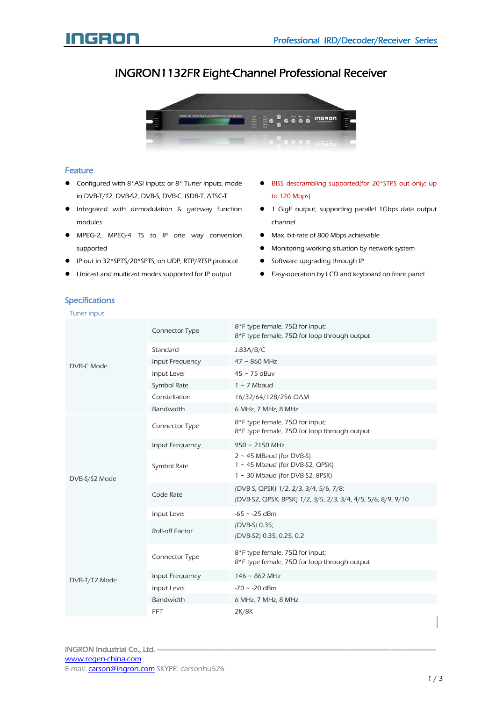# INGRON1132FR Eight-Channel Professional Receiver



### Feature

- Configured with 8\*ASI inputs; or 8\* Tuner inputs, mode in DVB-T/T2, DVB-S2, DVB-S, DVB-C, ISDB-T, ATSC-T
- **•** Integrated with demodulation & gateway function modules
- MPEG-2, MPEG-4 TS to IP one way conversion supported
- IP out in 32\*SPTS/20\*SPTS, on UDP, RTP/RTSP protocol
- Unicast and multicast modes supported for IP output
- BISS descrambling supported(for 20\*STPS out only; up to 120 Mbps)
- 1 GigE output, supporting parallel 1Gbps data output channel
- Max. bit-rate of 800 Mbps achievable
- Monitoring working situation by network system
- **•** Software upgrading through IP
- Easy-operation by LCD and keyboard on front panel

# **Specifications**

Tuner input

| DVB-C Mode    | Connector Type         | $8$ *F type female, 75Ω for input;<br>$8*$ F type female, 75Ω for loop through output                         |  |  |  |  |
|---------------|------------------------|---------------------------------------------------------------------------------------------------------------|--|--|--|--|
|               | Standard               | J.83A/B/C                                                                                                     |  |  |  |  |
|               | Input Frequency        | $47 \sim 860 \text{ MHz}$                                                                                     |  |  |  |  |
|               | Input Level            | $45 \sim 75$ dBuv                                                                                             |  |  |  |  |
|               | Symbol Rate            | $1 \sim 7$ Mbaud                                                                                              |  |  |  |  |
|               | Constellation          | 16/32/64/128/256 QAM                                                                                          |  |  |  |  |
|               | <b>Bandwidth</b>       | 6 MHz, 7 MHz, 8 MHz                                                                                           |  |  |  |  |
|               | Connector Type         | $8$ *F type female, 75Ω for input;<br>8*F type female, 75 $\Omega$ for loop through output                    |  |  |  |  |
|               | <b>Input Frequency</b> | $950 \sim 2150$ MHz                                                                                           |  |  |  |  |
| DVB-S/S2 Mode | Symbol Rate            | $2 \sim 45$ MBaud (for DVB-S)<br>$1 \sim 45$ Mbaud (for DVB-S2, QPSK)<br>$1 \sim 30$ Mbaud (for DVB-S2, 8PSK) |  |  |  |  |
|               | Code Rate              | (DVB-S, QPSK) 1/2, 2/3, 3/4, 5/6, 7/8;<br>(DVB-S2, QPSK, 8PSK) 1/2, 3/5, 2/3, 3/4, 4/5, 5/6, 8/9, 9/10        |  |  |  |  |
|               | Input Level            | $-65 \sim -25$ dBm                                                                                            |  |  |  |  |
|               | Roll-off Factor        | (DVB-S) 0.35;<br>(DVB-S2) 0.35, 0.25, 0.2                                                                     |  |  |  |  |
|               | Connector Type         | 8*F type female, $75Ω$ for input;<br>8*F type female, 75 $\Omega$ for loop through output                     |  |  |  |  |
| DVB-T/T2 Mode | Input Frequency        | $146 \sim 862 \text{ MHz}$                                                                                    |  |  |  |  |
|               | Input Level            | $-70 \sim -20$ dBm                                                                                            |  |  |  |  |
|               | <b>Bandwidth</b>       | 6 MHz, 7 MHz, 8 MHz                                                                                           |  |  |  |  |
|               | <b>FFT</b>             | 2K/8K                                                                                                         |  |  |  |  |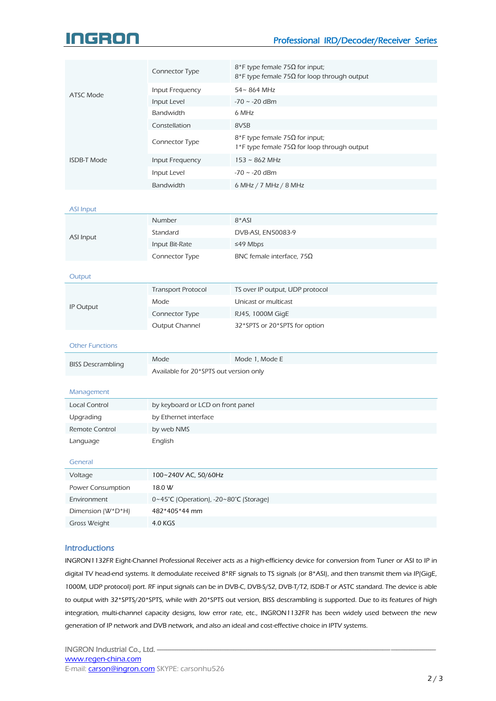# INGRON

# Professional IRD/Decoder/Receiver Series

|                    | <b>Connector Type</b> | $8$ *F type female 75Ω for input;<br>$8*$ F type female 75 $\Omega$ for loop through output |  |  |  |
|--------------------|-----------------------|---------------------------------------------------------------------------------------------|--|--|--|
| ATSC Mode          | Input Frequency       | $54 \sim 864$ MHz                                                                           |  |  |  |
|                    | Input Level           | $-70 \sim -20$ dBm                                                                          |  |  |  |
|                    | <b>Bandwidth</b>      | 6 MHz                                                                                       |  |  |  |
|                    | Constellation         | 8VSB                                                                                        |  |  |  |
|                    | Connector Type        | $8*$ F type female 75Ω for input;<br>1*F type female 75 $\Omega$ for loop through output    |  |  |  |
| <b>ISDB-T Mode</b> | Input Frequency       | $153 \sim 862$ MHz                                                                          |  |  |  |
|                    | Input Level           | $-70 \sim -20$ dBm                                                                          |  |  |  |
|                    | <b>Bandwidth</b>      | 6 MHz / 7 MHz / 8 MHz                                                                       |  |  |  |

## ASI Input

| <b>Number</b>  | $8*$ ASI                          |
|----------------|-----------------------------------|
| Standard       | DVB-ASI, EN50083-9                |
| Input Bit-Rate | ≤49 Mbps                          |
| Connector Type | BNC female interface, 75 $\Omega$ |
|                |                                   |

#### **Output**

| IP Output |                           |                                 |  |  |
|-----------|---------------------------|---------------------------------|--|--|
|           | <b>Transport Protocol</b> | TS over IP output, UDP protocol |  |  |
|           | Mode                      | Unicast or multicast            |  |  |
|           | Connector Type            | RJ45, 1000M GigE                |  |  |
|           | Output Channel            | 32*SPTS or 20*SPTS for option   |  |  |

#### Other Functions

|                          | Mode                                   | Mode 1. Mode $\mathsf E$ |
|--------------------------|----------------------------------------|--------------------------|
| <b>BISS Descrambling</b> | Available for 20*SPTS out version only |                          |

#### Management

| Local Control  | by keyboard or LCD on front panel |
|----------------|-----------------------------------|
| Upgrading      | by Ethernet interface             |
| Remote Control | by web NMS                        |
| Language       | English                           |

#### **General**

| Voltage           | 100~240V AC, 50/60Hz                                        |
|-------------------|-------------------------------------------------------------|
| Power Consumption | 18.0 W                                                      |
| Environment       | $0~45^{\circ}$ C (Operation), -20~80 $^{\circ}$ C (Storage) |
| Dimension (W*D*H) | 482*405*44 mm                                               |
| Gross Weight      | 4.0 KGS                                                     |

### **Introductions**

INGRON1132FR Eight-Channel Professional Receiver acts as a high-efficiency device for conversion from Tuner or ASI to IP in digital TV head-end systems. It demodulate received 8\*RF signals to TS signals (or 8\*ASI), and then transmit them via IP(GigE, 1000M, UDP protocol) port. RF input signals can be in DVB-C, DVB-S/S2, DVB-T/T2, ISDB-T or ASTC standard. The device is able to output with 32\*SPTS/20\*SPTS, while with 20\*SPTS out version, BISS descrambling is supported. Due to its features of high integration, multi-channel capacity designs, low error rate, etc., INGRON1132FR has been widely used between the new generation of IP network and DVB network, and also an ideal and cost-effective choice in IPTV systems.